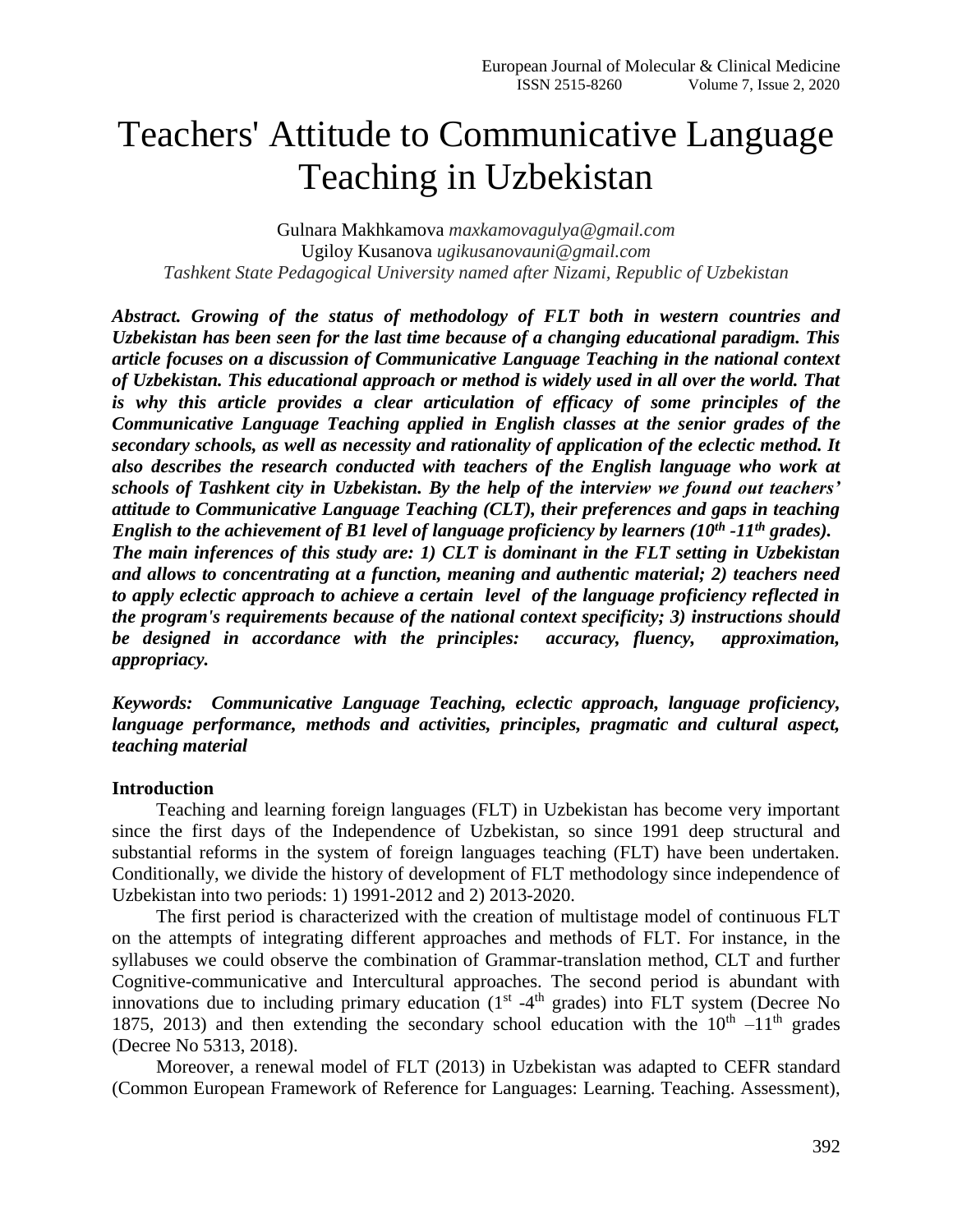# Teachers' Attitude to Communicative Language Teaching in Uzbekistan

Gulnara Makhkamova *maxkamovagulya@gmail.com* Ugiloy Kusanova *ugikusanovauni@gmail.com Tashkent State Pedagogical University named after Nizami, Republic of Uzbekistan*

*Abstract. Growing of the status of methodology of FLT both in western countries and Uzbekistan has been seen for the last time because of a changing educational paradigm. This article focuses on a discussion of Communicative Language Teaching in the national context of Uzbekistan. This educational approach or method is widely used in all over the world. That is why this article provides a clear articulation of efficacy of some principles of the Communicative Language Teaching applied in English classes at the senior grades of the secondary schools, as well as necessity and rationality of application of the eclectic method. It also describes the research conducted with teachers of the English language who work at schools of Tashkent city in Uzbekistan. By the help of the interview we found out teachers' attitude to Communicative Language Teaching (CLT), their preferences and gaps in teaching English to the achievement of B1 level of language proficiency by learners (10th -11th grades). The main inferences of this study are: 1) CLT is dominant in the FLT setting in Uzbekistan and allows to concentrating at a function, meaning and authentic material; 2) teachers need to apply eclectic approach to achieve a certain level of the language proficiency reflected in the program's requirements because of the national context specificity; 3) instructions should be designed in accordance with the principles: accuracy, fluency, approximation, appropriacy.*

*Keywords: Communicative Language Teaching, eclectic approach, language proficiency, language performance, methods and activities, principles, pragmatic and cultural aspect, teaching material*

#### **Introduction**

Teaching and learning foreign languages (FLT) in Uzbekistan has become very important since the first days of the Independence of Uzbekistan, so since 1991 deep structural and substantial reforms in the system of foreign languages teaching (FLT) have been undertaken. Conditionally, we divide the history of development of FLT methodology since independence of Uzbekistan into two periods: 1) 1991-2012 and 2) 2013-2020.

The first period is characterized with the creation of multistage model of continuous FLT on the attempts of integrating different approaches and methods of FLT. For instance, in the syllabuses we could observe the combination of Grammar-translation method, CLT and further Cognitive-communicative and Intercultural approaches. The second period is abundant with innovations due to including primary education  $(1<sup>st</sup> -4<sup>th</sup>$  grades) into FLT system (Decree No 1875, 2013) and then extending the secondary school education with the  $10^{th} -11^{th}$  grades (Decree No 5313, 2018).

Moreover, a renewal model of FLT (2013) in Uzbekistan was adapted to CEFR standard (Common European Framework of Reference for Languages: Learning. Teaching. Assessment),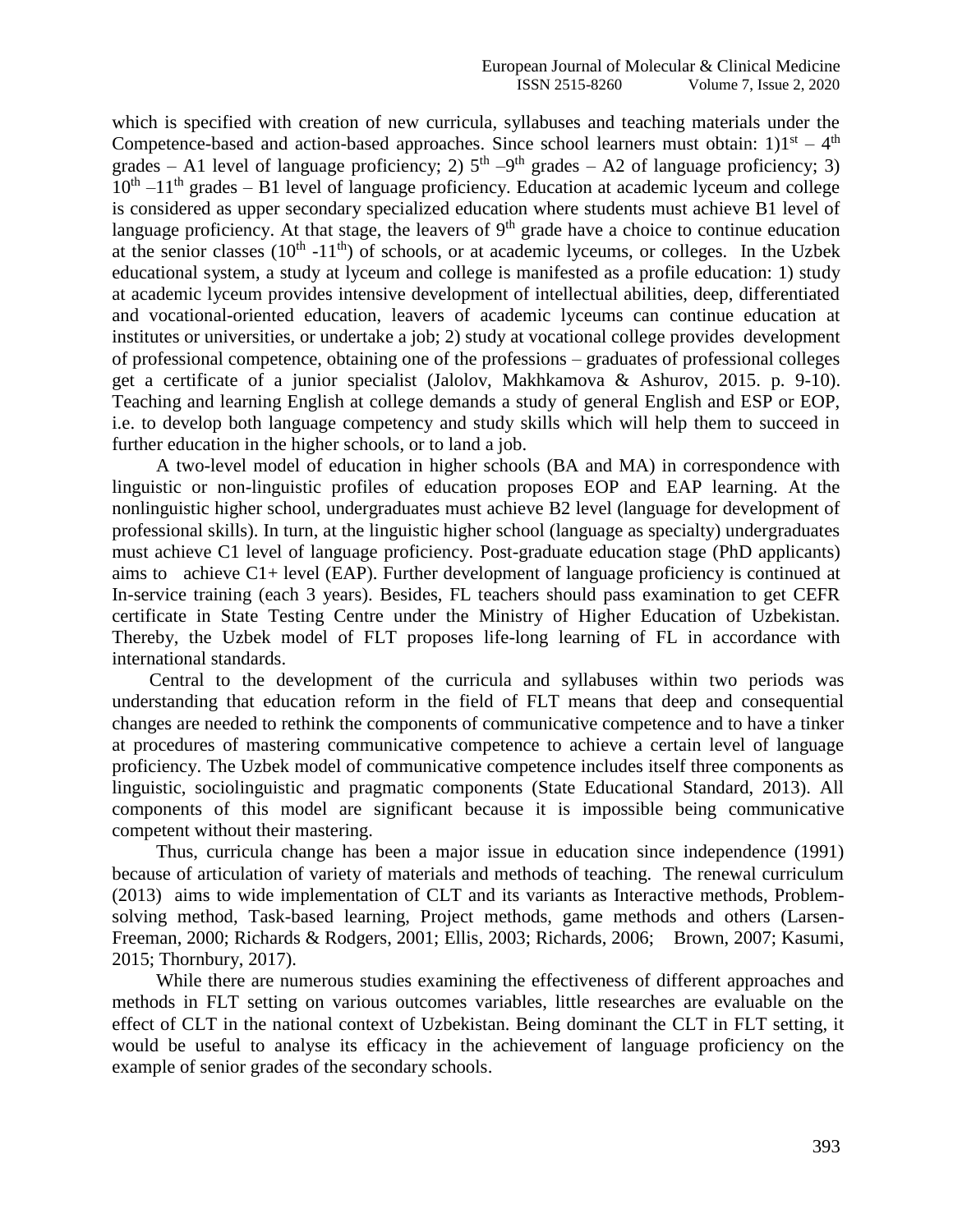which is specified with creation of new curricula, syllabuses and teaching materials under the Competence-based and action-based approaches. Since school learners must obtain: 1) $1<sup>st</sup> - 4<sup>th</sup>$ grades – A1 level of language proficiency; 2)  $5<sup>th</sup> - 9<sup>th</sup>$  grades – A2 of language proficiency; 3)  $10<sup>th</sup> - 11<sup>th</sup>$  grades – B1 level of language proficiency. Education at academic lyceum and college is considered as upper secondary specialized education where students must achieve B1 level of language proficiency. At that stage, the leavers of  $9<sup>th</sup>$  grade have a choice to continue education at the senior classes  $(10^{th} - 11^{th})$  of schools, or at academic lyceums, or colleges. In the Uzbek educational system, a study at lyceum and college is manifested as a profile education: 1) study at academic lyceum provides intensive development of intellectual abilities, deep, differentiated and vocational-oriented education, leavers of academic lyceums can continue education at institutes or universities, or undertake a job; 2) study at vocational college provides development of professional competence, obtaining one of the professions – graduates of professional colleges get a certificate of a junior specialist (Jalolov, Makhkamova & Ashurov, 2015. p. 9-10). Teaching and learning English at college demands a study of general English and ESP or EOP, i.e. to develop both language competency and study skills which will help them to succeed in further education in the higher schools, or to land a job.

A two-level model of education in higher schools (BA and MA) in correspondence with linguistic or non-linguistic profiles of education proposes EOP and EAP learning. At the nonlinguistic higher school, undergraduates must achieve B2 level (language for development of professional skills). In turn, at the linguistic higher school (language as specialty) undergraduates must achieve C1 level of language proficiency. Post-graduate education stage (PhD applicants) aims to achieve C1+ level (EAP). Further development of language proficiency is continued at In-service training (each 3 years). Besides, FL teachers should pass examination to get CEFR certificate in State Testing Centre under the Ministry of Higher Education of Uzbekistan. Thereby, the Uzbek model of FLT proposes life-long learning of FL in accordance with international standards.

 Central to the development of the curricula and syllabuses within two periods was understanding that education reform in the field of FLT means that deep and consequential changes are needed to rethink the components of communicative competence and to have a tinker at procedures of mastering communicative competence to achieve a certain level of language proficiency. The Uzbek model of communicative competence includes itself three components as linguistic, sociolinguistic and pragmatic components (State Educational Standard, 2013). All components of this model are significant because it is impossible being communicative competent without their mastering.

Thus, curricula change has been a major issue in education since independence (1991) because of articulation of variety of materials and methods of teaching. The renewal curriculum (2013) aims to wide implementation of CLT and its variants as Interactive methods, Problemsolving method, Task-based learning, Project methods, game methods and others (Larsen-Freeman, 2000; Richards & Rodgers, 2001; Ellis, 2003; Richards, 2006; Brown, 2007; Kasumi, 2015; Thornbury, 2017).

While there are numerous studies examining the effectiveness of different approaches and methods in FLT setting on various outcomes variables, little researches are evaluable on the effect of CLT in the national context of Uzbekistan. Being dominant the CLT in FLT setting, it would be useful to analyse its efficacy in the achievement of language proficiency on the example of senior grades of the secondary schools.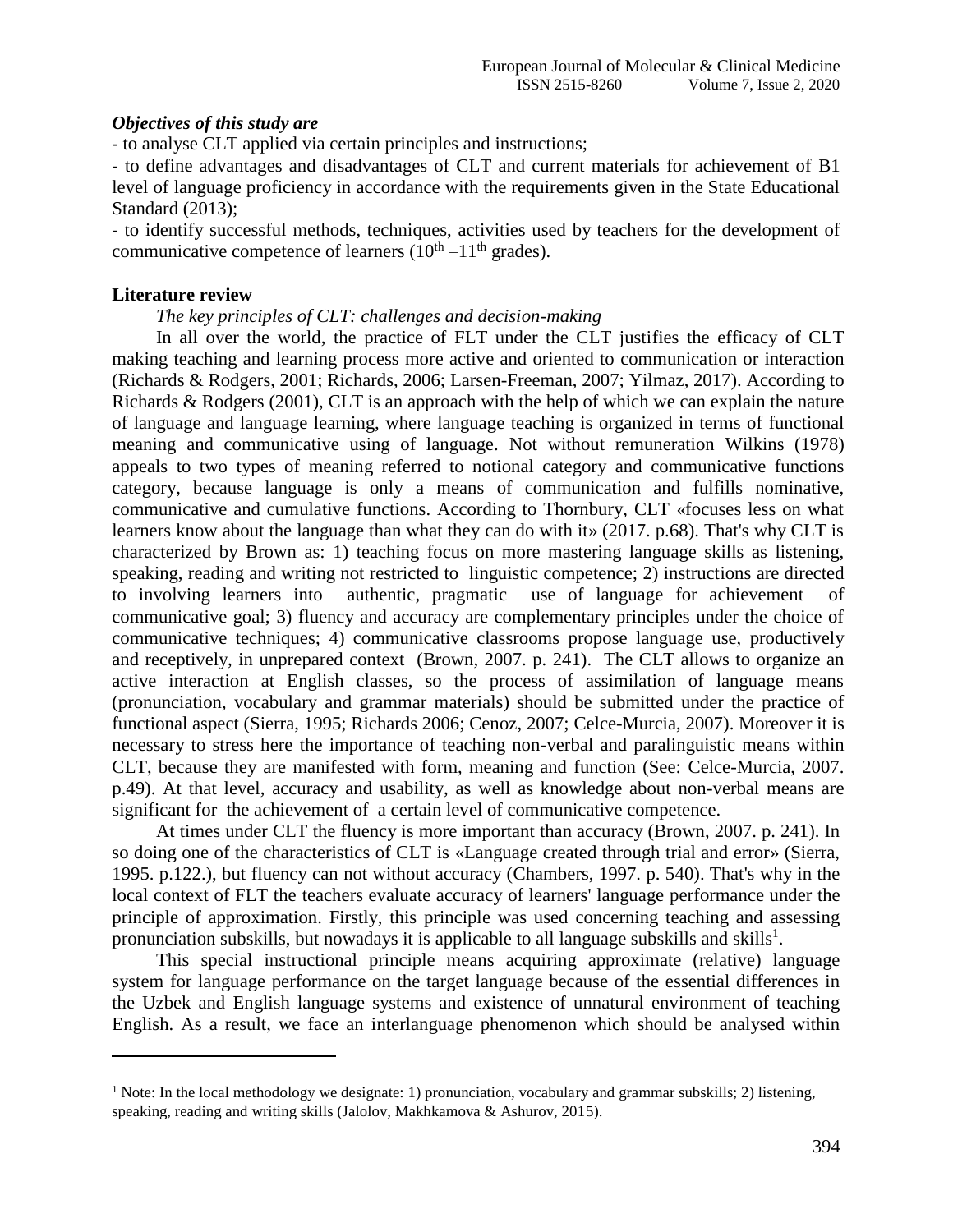## *Objectives of this study are*

- to analyse CLT applied via certain principles and instructions;

- to define advantages and disadvantages of CLT and current materials for achievement of B1 level of language proficiency in accordance with the requirements given in the State Educational Standard (2013);

- to identify successful methods, techniques, activities used by teachers for the development of communicative competence of learners  $(10<sup>th</sup> - 11<sup>th</sup>$  grades).

### **Literature review**

l

*The key principles of CLT: challenges and decision-making*

In all over the world, the practice of FLT under the CLT justifies the efficacy of CLT making teaching and learning process more active and oriented to communication or interaction (Richards & Rodgers, 2001; Richards, 2006; Larsen-Freeman, 2007; Yilmaz, 2017). According to Richards & Rodgers (2001), CLT is an approach with the help of which we can explain the nature of language and language learning, where language teaching is organized in terms of functional meaning and communicative using of language. Not without remuneration Wilkins (1978) appeals to two types of meaning referred to notional category and communicative functions category, because language is only a means of communication and fulfills nominative, communicative and cumulative functions. According to Thornbury, CLT «focuses less on what learners know about the language than what they can do with it» (2017. p.68). That's why CLT is characterized by Brown as: 1) teaching focus on more mastering language skills as listening, speaking, reading and writing not restricted to linguistic competence; 2) instructions are directed to involving learners into authentic, pragmatic use of language for achievement of communicative goal; 3) fluency and accuracy are complementary principles under the choice of communicative techniques; 4) communicative classrooms propose language use, productively and receptively, in unprepared context (Brown, 2007. p. 241). The CLT allows to organize an active interaction at English classes, so the process of assimilation of language means (pronunciation, vocabulary and grammar materials) should be submitted under the practice of functional aspect (Sierra, 1995; Richards 2006; Cenoz, 2007; Celce-Murcia, 2007). Moreover it is necessary to stress here the importance of teaching non-verbal and paralinguistic means within CLT, because they are manifested with form, meaning and function (See: Celce-Murcia, 2007. p.49). At that level, accuracy and usability, as well as knowledge about non-verbal means are significant for the achievement of a certain level of communicative competence.

At times under CLT the fluency is more important than accuracy (Brown, 2007. p. 241). In so doing one of the characteristics of CLT is «Language created through trial and error» (Sierra, 1995. p.122.), but fluency can not without accuracy (Chambers, 1997. p. 540). That's why in the local context of FLT the teachers evaluate accuracy of learners' language performance under the principle of approximation. Firstly, this principle was used concerning teaching and assessing pronunciation subskills, but nowadays it is applicable to all language subskills and skills<sup>1</sup>.

This special instructional principle means acquiring approximate (relative) language system for language performance on the target language because of the essential differences in the Uzbek and English language systems and existence of unnatural environment of teaching English. As a result, we face an interlanguage phenomenon which should be analysed within

<sup>1</sup> Note: In the local methodology we designate: 1) pronunciation, vocabulary and grammar subskills; 2) listening, speaking, reading and writing skills (Jalolov, Makhkamova & Ashurov, 2015).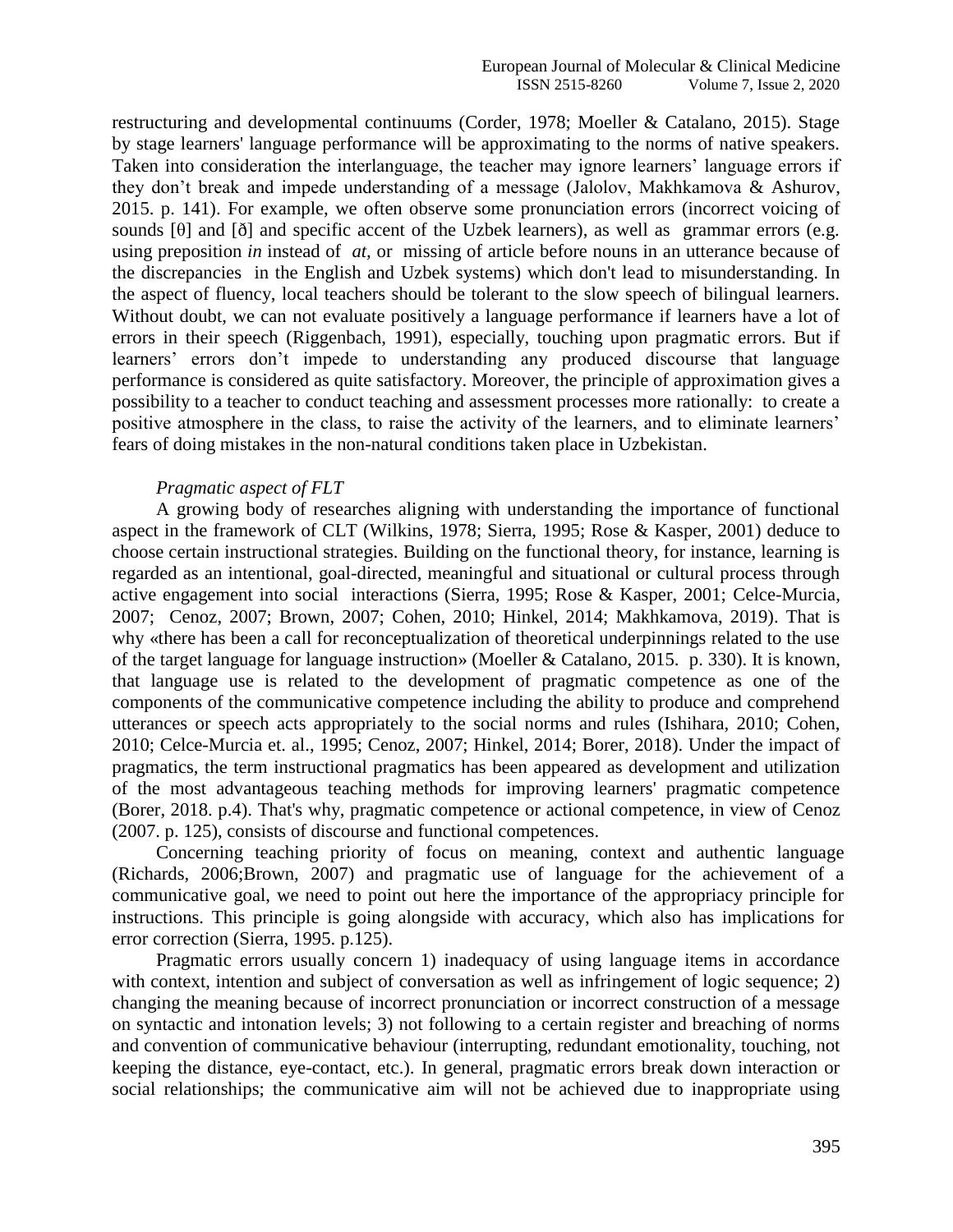restructuring and developmental continuums (Corder, 1978; Moeller & Catalano, 2015). Stage by stage learners' language performance will be approximating to the norms of native speakers. Taken into consideration the interlanguage, the teacher may ignore learners' language errors if they don't break and impede understanding of a message (Jalolov, Makhkamova & Ashurov, 2015. p. 141). For example, we often observe some pronunciation errors (incorrect voicing of sounds  $[\theta]$  and  $[\delta]$  and specific accent of the Uzbek learners), as well as grammar errors (e.g. using preposition *in* instead of *at,* ormissing of article before nouns in an utterance because of the discrepancies in the English and Uzbek systems) which don't lead to misunderstanding. In the aspect of fluency, local teachers should be tolerant to the slow speech of bilingual learners. Without doubt, we can not evaluate positively a language performance if learners have a lot of errors in their speech (Riggenbach, 1991), especially, touching upon pragmatic errors. But if learners' errors don't impede to understanding any produced discourse that language performance is considered as quite satisfactory. Moreover, the principle of approximation gives a possibility to a teacher to conduct teaching and assessment processes more rationally: to create a positive atmosphere in the class, to raise the activity of the learners, and to eliminate learners' fears of doing mistakes in the non-natural conditions taken place in Uzbekistan.

#### *Pragmatic aspect of FLT*

A growing body of researches aligning with understanding the importance of functional aspect in the framework of CLT (Wilkins, 1978; Sierra, 1995; Rose & Kasper, 2001) deduce to choose certain instructional strategies. Building on the functional theory, for instance, learning is regarded as an intentional, goal-directed, meaningful and situational or cultural process through active engagement into social interactions (Sierra, 1995; Rose & Kasper, 2001; Celce-Murcia, 2007; Cenoz, 2007; Brown, 2007; Cohen, 2010; Hinkel, 2014; Makhkamova, 2019). That is why «there has been a call for reconceptualization of theoretical underpinnings related to the use of the target language for language instruction» (Moeller & Catalano, 2015. p. 330). It is known, that language use is related to the development of pragmatic competence as one of the components of the communicative competence including the ability to produce and comprehend utterances or speech acts appropriately to the social norms and rules (Ishihara, 2010; Cohen, 2010; Celce-Murcia et. al., 1995; Cenoz, 2007; Hinkel, 2014; Borer, 2018). Under the impact of pragmatics, the term instructional pragmatics has been appeared as development and utilization of the most advantageous teaching methods for improving learners' pragmatic competence (Borer, 2018. p.4). That's why, pragmatic competence or actional competence, in view of Cenoz (2007. p. 125), consists of discourse and functional competences.

Concerning teaching priority of focus on meaning, context and authentic language (Richards, 2006;Brown, 2007) and pragmatic use of language for the achievement of a communicative goal, we need to point out here the importance of the appropriacy principle for instructions. This principle is going alongside with accuracy, which also has implications for error correction (Sierra, 1995. p.125).

Pragmatic errors usually concern 1) inadequacy of using language items in accordance with context, intention and subject of conversation as well as infringement of logic sequence; 2) changing the meaning because of incorrect pronunciation or incorrect construction of a message on syntactic and intonation levels; 3) not following to a certain register and breaching of norms and convention of communicative behaviour (interrupting, redundant emotionality, touching, not keeping the distance, eye-contact, etc.). In general, pragmatic errors break down interaction or social relationships; the communicative aim will not be achieved due to inappropriate using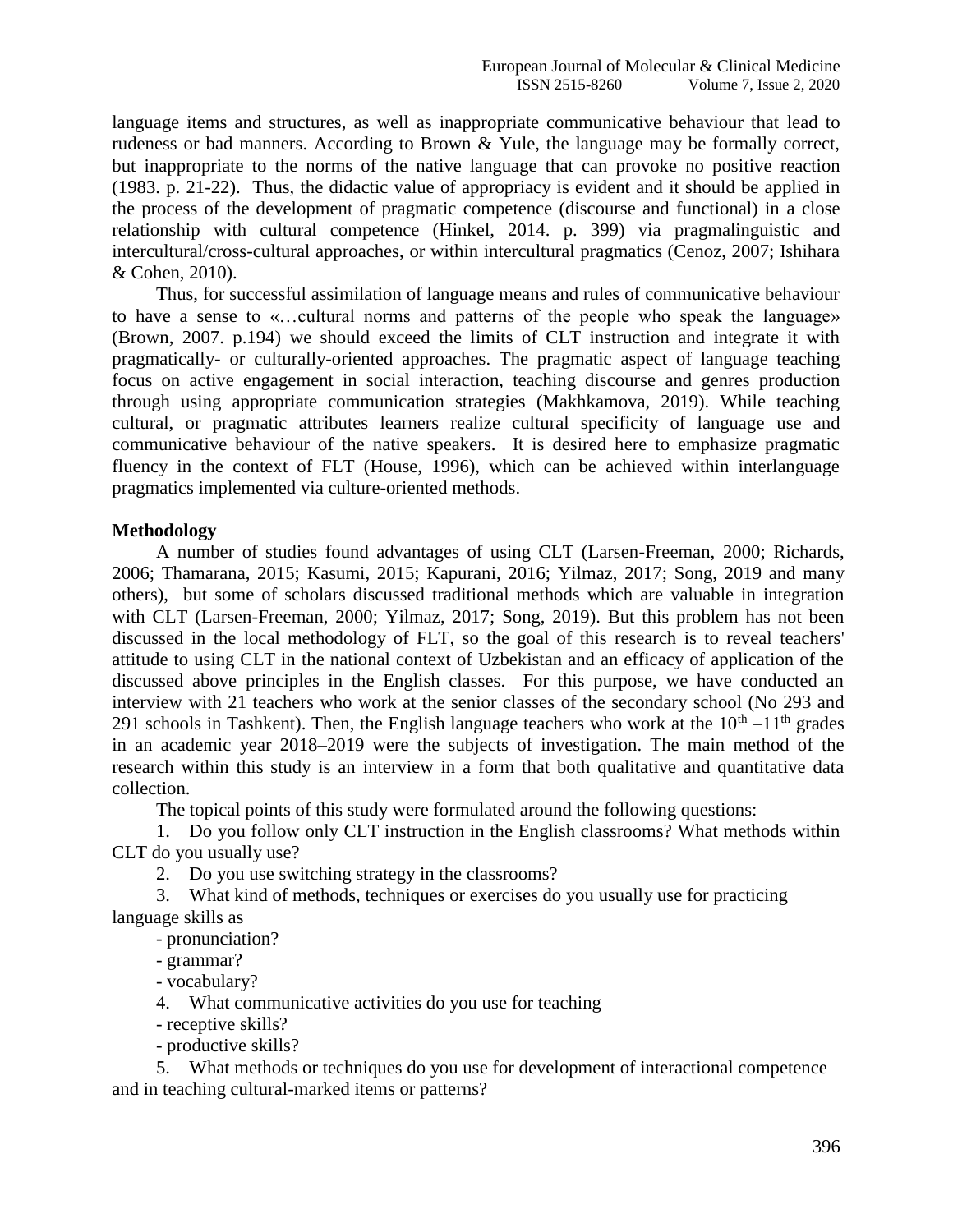language items and structures, as well as inappropriate communicative behaviour that lead to rudeness or bad manners. According to Brown & Yule, the language may be formally correct, but inappropriate to the norms of the native language that can provoke no positive reaction (1983. p. 21-22). Thus, the didactic value of appropriacy is evident and it should be applied in the process of the development of pragmatic competence (discourse and functional) in a close relationship with cultural competence (Hinkel, 2014. p. 399) via pragmalinguistic and intercultural/cross-cultural approaches, or within intercultural pragmatics (Cenoz, 2007; Ishihara & Cohen, 2010).

Thus, for successful assimilation of language means and rules of communicative behaviour to have a sense to «…cultural norms and patterns of the people who speak the language» (Brown, 2007. p.194) we should exceed the limits of CLT instruction and integrate it with pragmatically- or culturally-oriented approaches. The pragmatic aspect of language teaching focus on active engagement in social interaction, teaching discourse and genres production through using appropriate communication strategies (Makhkamova, 2019). While teaching cultural, or pragmatic attributes learners realize cultural specificity of language use and communicative behaviour of the native speakers. It is desired here to emphasize pragmatic fluency in the context of FLT (House, 1996), which can be achieved within interlanguage pragmatics implemented via culture-oriented methods.

## **Methodology**

A number of studies found advantages of using CLT (Larsen-Freeman, 2000; Richards, 2006; [Thamarana,](https://www.researchgate.net/profile/Simhachalam_Thamarana) 2015; Kasumi, 2015; Kapurani, 2016; Yilmaz, 2017; Song, 2019 and many others), but some of scholars discussed traditional methods which are valuable in integration with CLT (Larsen-Freeman, 2000; Yilmaz, 2017; Song, 2019). But this problem has not been discussed in the local methodology of FLT, so the goal of this research is to reveal teachers' attitude to using CLT in the national context of Uzbekistan and an efficacy of application of the discussed above principles in the English classes. For this purpose, we have conducted an interview with 21 teachers who work at the senior classes of the secondary school (No 293 and 291 schools in Tashkent). Then, the English language teachers who work at the  $10<sup>th</sup> - 11<sup>th</sup>$  grades in an academic year 2018–2019 were the subjects of investigation. The main method of the research within this study is an interview in a form that both qualitative and quantitative data collection.

The topical points of this study were formulated around the following questions:

1. Do you follow only CLT instruction in the English classrooms? What methods within CLT do you usually use?

2. Do you use switching strategy in the classrooms?

3. What kind of methods, techniques or exercises do you usually use for practicing language skills as

- pronunciation?

- grammar?

- vocabulary?

4. What communicative activities do you use for teaching

- receptive skills?

- productive skills?

5. What methods or techniques do you use for development of interactional competence and in teaching cultural-marked items or patterns?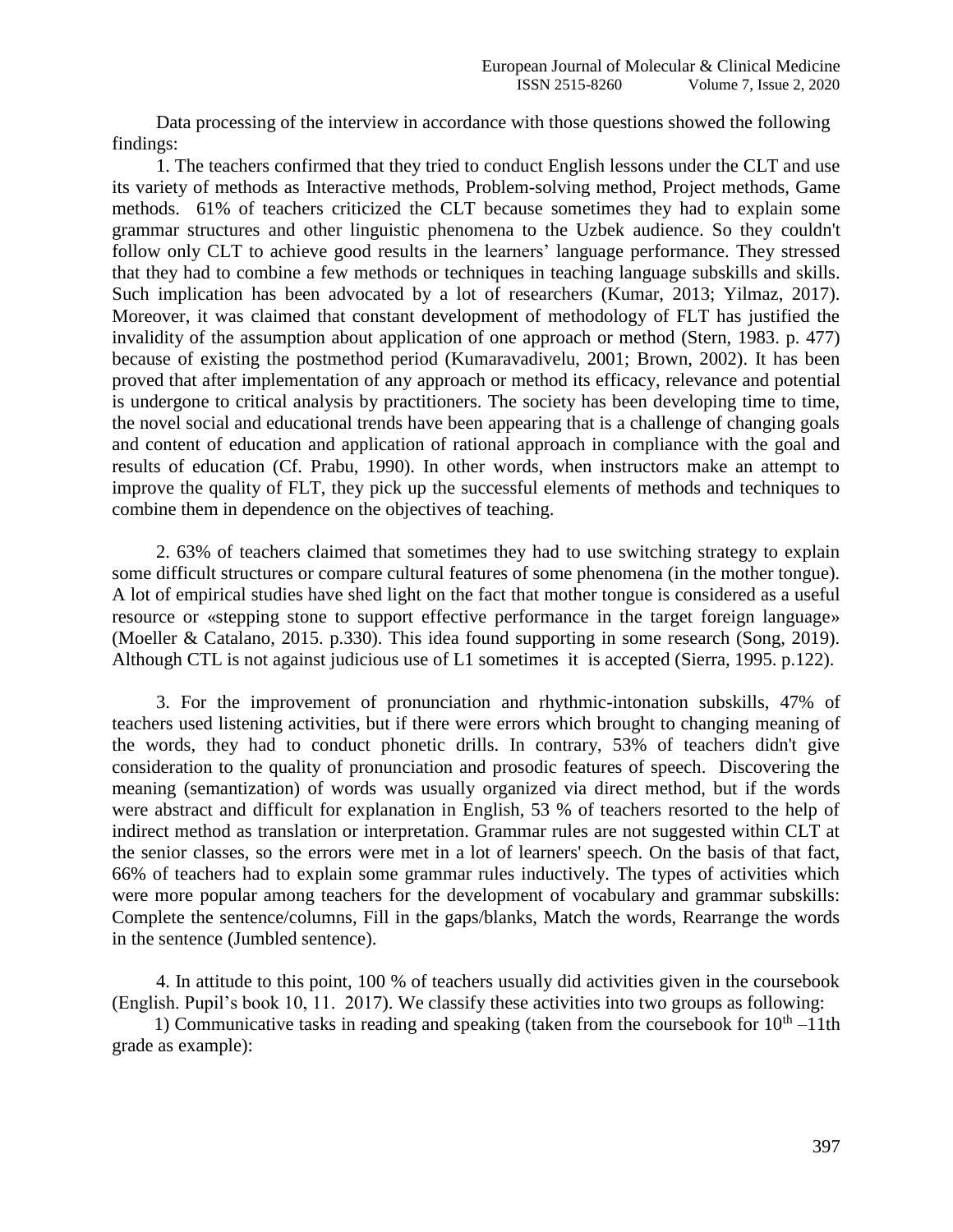Data processing of the interview in accordance with those questions showed the following findings:

1. The teachers confirmed that they tried to conduct English lessons under the CLT and use its variety of methods as Interactive methods, Problem-solving method, Project methods, Game methods. 61% of teachers criticized the CLT because sometimes they had to explain some grammar structures and other linguistic phenomena to the Uzbek audience. So they couldn't follow only CLT to achieve good results in the learners' language performance. They stressed that they had to combine a few methods or techniques in teaching language subskills and skills. Such implication has been advocated by a lot of researchers (Kumar, 2013; Yilmaz, 2017). Moreover, it was claimed that constant development of methodology of FLT has justified the invalidity of the assumption about application of one approach or method (Stern, 1983. p. 477) because of existing the postmethod period (Kumaravadivelu, 2001; Brown, 2002). It has been proved that after implementation of any approach or method its efficacy, relevance and potential is undergone to critical analysis by practitioners. The society has been developing time to time, the novel social and educational trends have been appearing that is a challenge of changing goals and content of education and application of rational approach in compliance with the goal and results of education (Cf. Prabu, 1990). In other words, when instructors make an attempt to improve the quality of FLT, they pick up the successful elements of methods and techniques to combine them in dependence on the objectives of teaching.

2. 63% of teachers claimed that sometimes they had to use switching strategy to explain some difficult structures or compare cultural features of some phenomena (in the mother tongue). A lot of empirical studies have shed light on the fact that mother tongue is considered as a useful resource or «stepping stone to support effective performance in the target foreign language» (Moeller & Catalano, 2015. p.330). This idea found supporting in some research (Song, 2019). Although CTL is not against judicious use of L1 sometimes it is accepted (Sierra, 1995. p.122).

3. For the improvement of pronunciation and rhythmic-intonation subskills, 47% of teachers used listening activities, but if there were errors which brought to changing meaning of the words, they had to conduct phonetic drills. In contrary, 53% of teachers didn't give consideration to the quality of pronunciation and prosodic features of speech. Discovering the meaning (semantization) of words was usually organized via direct method, but if the words were abstract and difficult for explanation in English, 53 % of teachers resorted to the help of indirect method as translation or interpretation. Grammar rules are not suggested within CLT at the senior classes, so the errors were met in a lot of learners' speech. On the basis of that fact, 66% of teachers had to explain some grammar rules inductively. The types of activities which were more popular among teachers for the development of vocabulary and grammar subskills: Complete the sentence/columns, Fill in the gaps/blanks, Match the words, Rearrange the words in the sentence (Jumbled sentence).

4. In attitude to this point, 100 % of teachers usually did activities given in the coursebook (English. Pupil's book 10, 11. 2017). We classify these activities into two groups as following:

1) Communicative tasks in reading and speaking (taken from the coursebook for  $10<sup>th</sup> - 11th$ grade as example):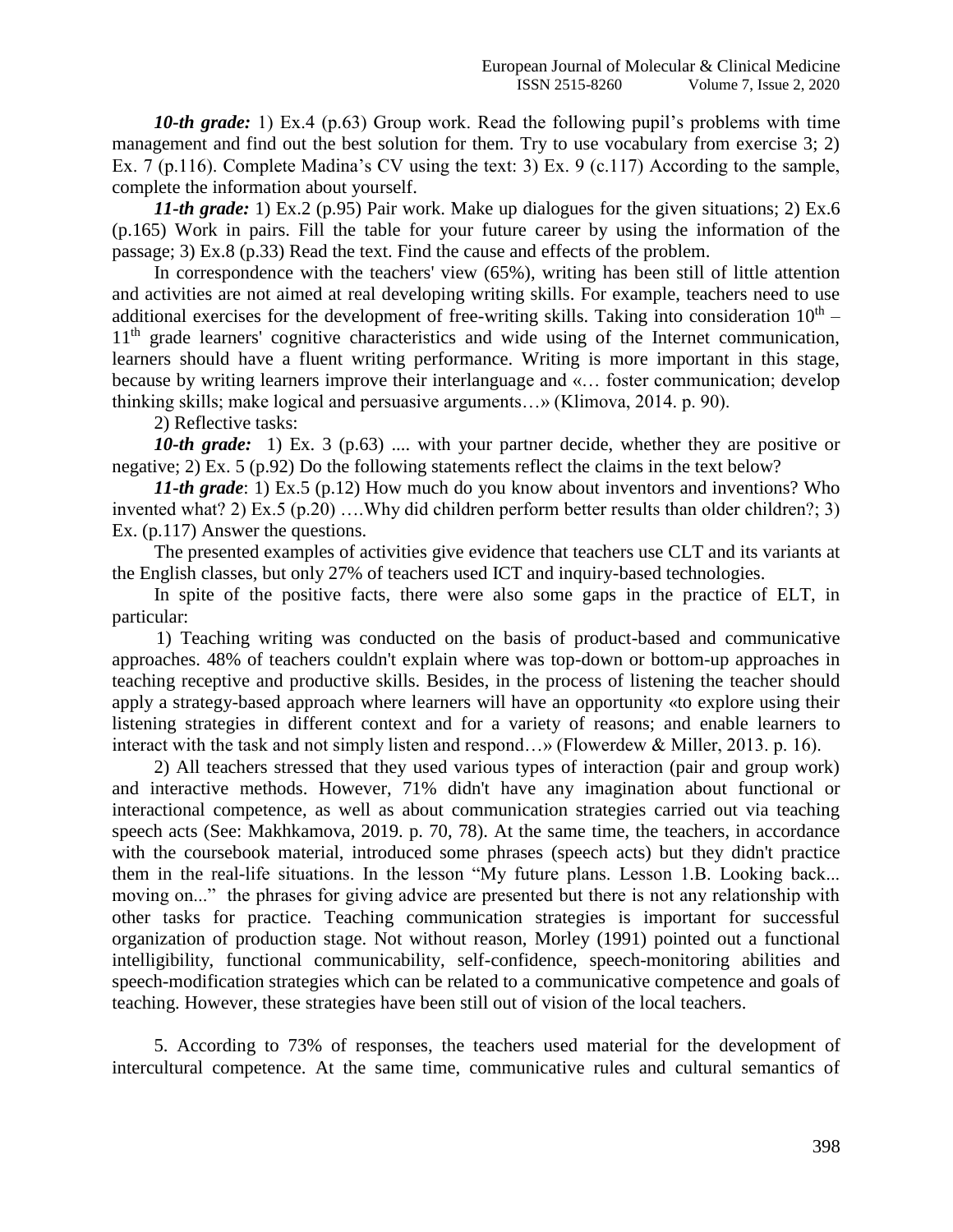*10-th grade:* 1) Ex.4 (p.63) Group work. Read the following pupil's problems with time management and find out the best solution for them. Try to use vocabulary from exercise 3; 2) Ex. 7 (p.116). Complete Madina's CV using the text: 3) Ex. 9 (c.117) According to the sample, complete the information about yourself.

*11-th grade:* 1) Ex.2 (p.95) Pair work. Make up dialogues for the given situations; 2) Ex.6 (p.165) Work in pairs. Fill the table for your future career by using the information of the passage; 3) Ex.8 (p.33) Read the text. Find the cause and effects of the problem.

In correspondence with the teachers' view (65%), writing has been still of little attention and activities are not aimed at real developing writing skills. For example, teachers need to use additional exercises for the development of free-writing skills. Taking into consideration  $10<sup>th</sup>$  – 11<sup>th</sup> grade learners' cognitive characteristics and wide using of the Internet communication, learners should have a fluent writing performance. Writing is more important in this stage, because by writing learners improve their interlanguage and «… foster communication; develop thinking skills; make logical and persuasive arguments…» (Klimova, 2014. p. 90).

2) Reflective tasks:

*10-th grade:* 1) Ex. 3 (p.63) .... with your partner decide, whether they are positive or negative; 2) Ex. 5 (p.92) Do the following statements reflect the claims in the text below?

*11-th grade*: 1) Ex.5 (p.12) How much do you know about inventors and inventions? Who invented what? 2) Ex.5 (p.20) ….Why did children perform better results than older children?; 3) Ex. (p.117) Answer the questions.

The presented examples of activities give evidence that teachers use CLT and its variants at the English classes, but only 27% of teachers used ICT and inquiry-based technologies.

In spite of the positive facts, there were also some gaps in the practice of ELT, in particular:

1) Teaching writing was conducted on the basis of product-based and communicative approaches. 48% of teachers couldn't explain where was top-down or bottom-up approaches in teaching receptive and productive skills. Besides, in the process of listening the teacher should apply a strategy-based approach where learners will have an opportunity «to explore using their listening strategies in different context and for a variety of reasons; and enable learners to interact with the task and not simply listen and respond…» (Flowerdew & Miller, 2013. p. 16).

2) All teachers stressed that they used various types of interaction (pair and group work) and interactive methods. However, 71% didn't have any imagination about functional or interactional competence, as well as about communication strategies carried out via teaching speech acts (See: Makhkamova, 2019. p. 70, 78). At the same time, the teachers, in accordance with the coursebook material, introduced some phrases (speech acts) but they didn't practice them in the real-life situations. In the lesson "My future plans. Lesson 1.B. Looking back... moving on..." the phrases for giving advice are presented but there is not any relationship with other tasks for practice. Teaching communication strategies is important for successful organization of production stage. Not without reason, Morley (1991) pointed out a functional intelligibility, functional communicability, self-confidence, speech-monitoring abilities and speech-modification strategies which can be related to a communicative competence and goals of teaching. However, these strategies have been still out of vision of the local teachers.

5. According to 73% of responses, the teachers used material for the development of intercultural competence. At the same time, communicative rules and cultural semantics of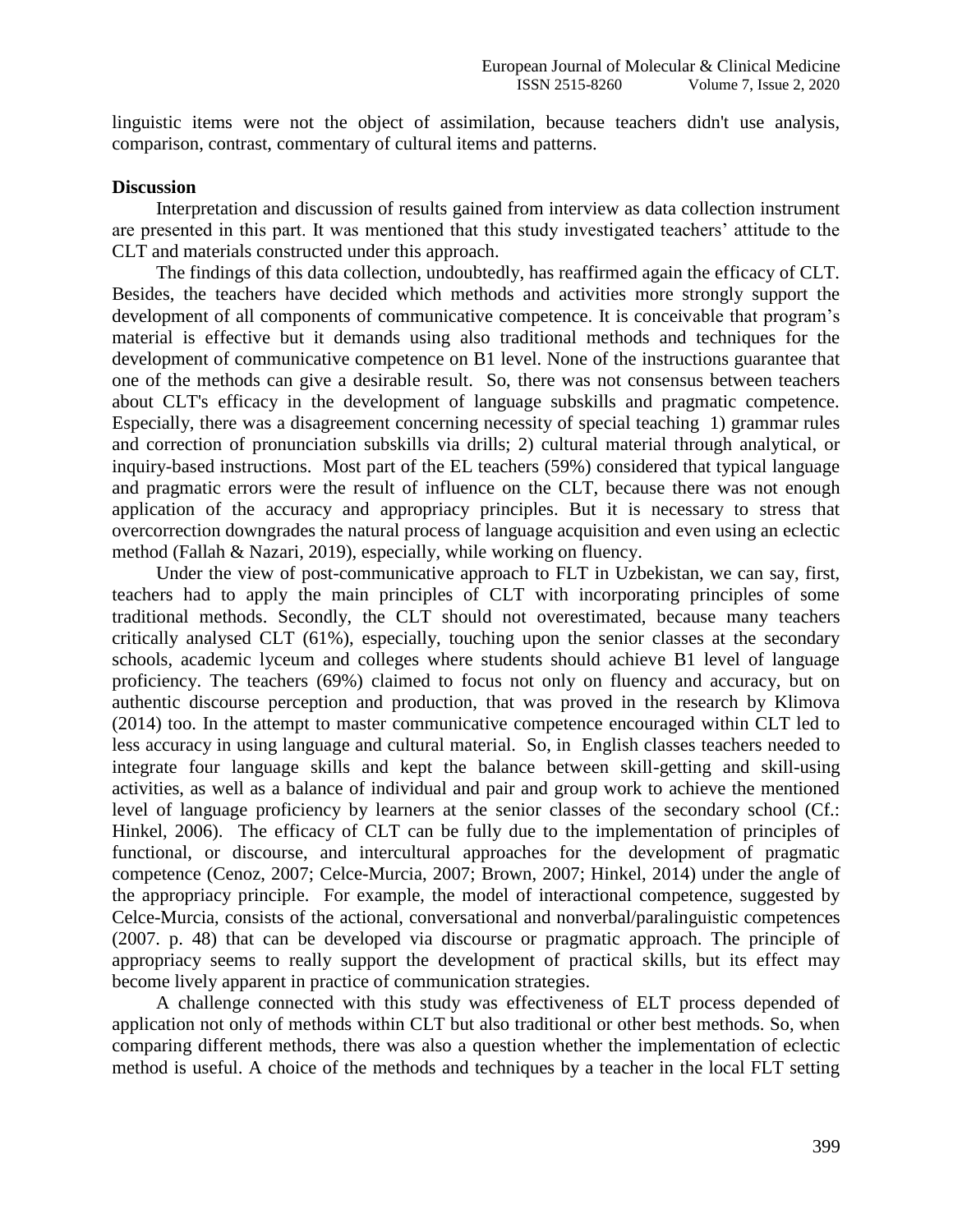linguistic items were not the object of assimilation, because teachers didn't use analysis, comparison, contrast, commentary of cultural items and patterns.

#### **Discussion**

Interpretation and discussion of results gained from interview as data collection instrument are presented in this part. It was mentioned that this study investigated teachers' attitude to the CLT and materials constructed under this approach.

The findings of this data collection, undoubtedly, has reaffirmed again the efficacy of CLT. Besides, the teachers have decided which methods and activities more strongly support the development of all components of communicative competence. It is conceivable that program's material is effective but it demands using also traditional methods and techniques for the development of communicative competence on B1 level. None of the instructions guarantee that one of the methods can give a desirable result. So, there was not consensus between teachers about CLT's efficacy in the development of language subskills and pragmatic competence. Especially, there was a disagreement concerning necessity of special teaching 1) grammar rules and correction of pronunciation subskills via drills; 2) cultural material through analytical, or inquiry-based instructions. Most part of the EL teachers (59%) considered that typical language and pragmatic errors were the result of influence on the CLT, because there was not enough application of the accuracy and appropriacy principles. But it is necessary to stress that overcorrection downgrades the natural process of language acquisition and even using an eclectic method (Fallah & Nazari, 2019), especially, while working on fluency.

Under the view of post-communicative approach to FLT in Uzbekistan, we can say, first, teachers had to apply the main principles of CLT with incorporating principles of some traditional methods. Secondly, the CLT should not overestimated, because many teachers critically analysed CLT (61%), especially, touching upon the senior classes at the secondary schools, academic lyceum and colleges where students should achieve B1 level of language proficiency. The teachers (69%) claimed to focus not only on fluency and accuracy, but on authentic discourse perception and production, that was proved in the research by Klimova (2014) too. In the attempt to master communicative competence encouraged within CLT led to less accuracy in using language and cultural material. So, in English classes teachers needed to integrate four language skills and kept the balance between skill-getting and skill-using activities, as well as a balance of individual and pair and group work to achieve the mentioned level of language proficiency by learners at the senior classes of the secondary school (Cf.: Hinkel, 2006). The efficacy of CLT can be fully due to the implementation of principles of functional, or discourse, and intercultural approaches for the development of pragmatic competence (Cenoz, 2007; Celce-Murcia, 2007; Brown, 2007; Hinkel, 2014) under the angle of the appropriacy principle. For example, the model of interactional competence, suggested by Celce-Murcia, consists of the actional, conversational and nonverbal/paralinguistic competences (2007. p. 48) that can be developed via discourse or pragmatic approach. The principle of appropriacy seems to really support the development of practical skills, but its effect may become lively apparent in practice of communication strategies.

A challenge connected with this study was effectiveness of ELT process depended of application not only of methods within CLT but also traditional or other best methods. So, when comparing different methods, there was also a question whether the implementation of eclectic method is useful. A choice of the methods and techniques by a teacher in the local FLT setting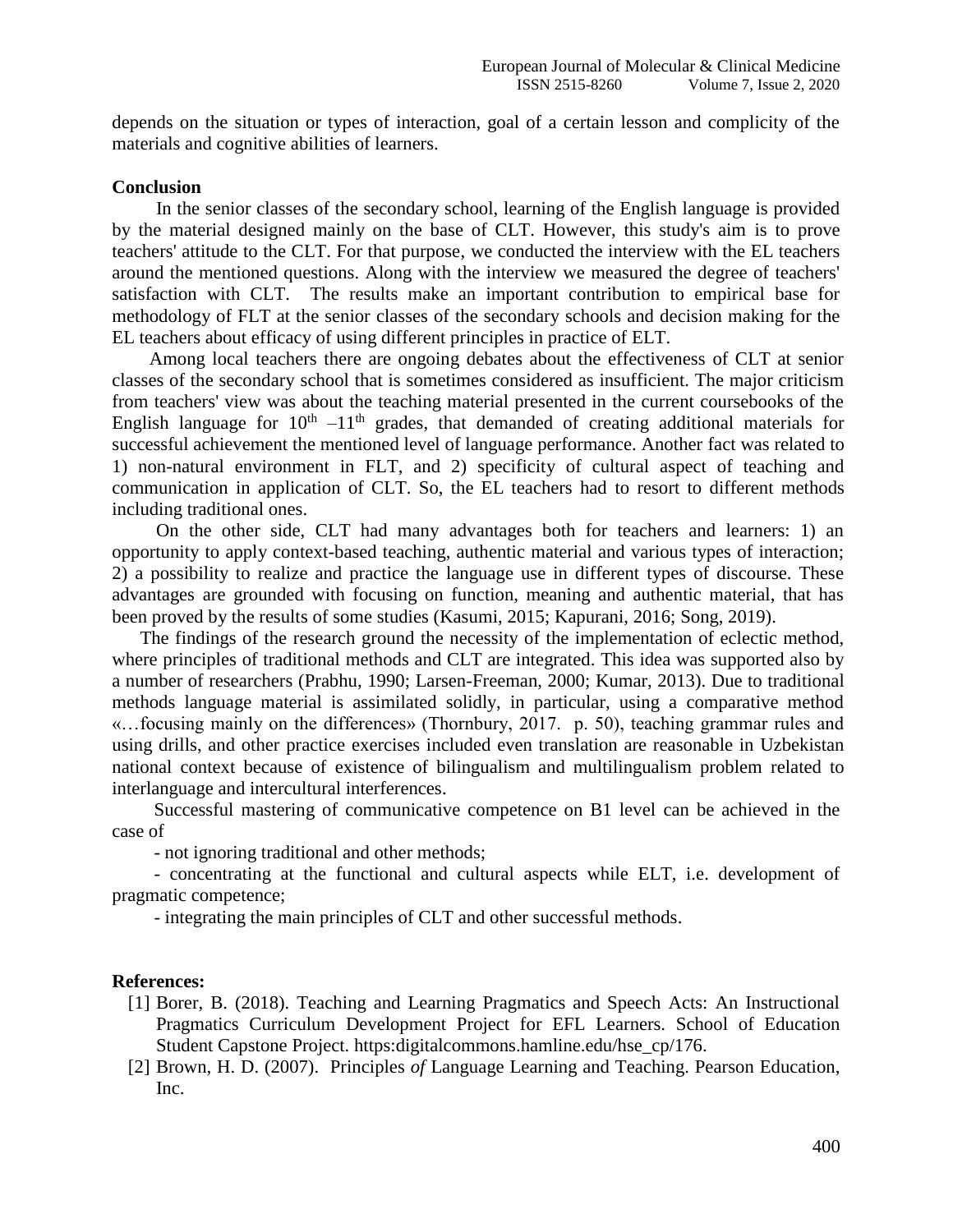depends on the situation or types of interaction, goal of a certain lesson and complicity of the materials and cognitive abilities of learners.

#### **Conclusion**

In the senior classes of the secondary school, learning of the English language is provided by the material designed mainly on the base of CLT. However, this study's aim is to prove teachers' attitude to the CLT. For that purpose, we conducted the interview with the EL teachers around the mentioned questions. Along with the interview we measured the degree of teachers' satisfaction with CLT. The results make an important contribution to empirical base for methodology of FLT at the senior classes of the secondary schools and decision making for the EL teachers about efficacy of using different principles in practice of ELT.

 Among local teachers there are ongoing debates about the effectiveness of CLT at senior classes of the secondary school that is sometimes considered as insufficient. The major criticism from teachers' view was about the teaching material presented in the current coursebooks of the English language for  $10<sup>th</sup> -11<sup>th</sup>$  grades, that demanded of creating additional materials for successful achievement the mentioned level of language performance. Another fact was related to 1) non-natural environment in FLT, and 2) specificity of cultural aspect of teaching and communication in application of CLT. So, the EL teachers had to resort to different methods including traditional ones.

On the other side, CLT had many advantages both for teachers and learners: 1) an opportunity to apply context-based teaching, authentic material and various types of interaction; 2) a possibility to realize and practice the language use in different types of discourse. These advantages are grounded with focusing on function, meaning and authentic material, that has been proved by the results of some studies (Kasumi, 2015; Kapurani, 2016; Song, 2019).

The findings of the research ground the necessity of the implementation of eclectic method, where principles of traditional methods and CLT are integrated. This idea was supported also by a number of researchers (Prabhu, 1990; Larsen-Freeman, 2000; Kumar, 2013). Due to traditional methods language material is assimilated solidly, in particular, using a comparative method «…focusing mainly on the differences» (Thornbury, 2017. p. 50), teaching grammar rules and using drills, and other practice exercises included even translation are reasonable in Uzbekistan national context because of existence of bilingualism and multilingualism problem related to interlanguage and intercultural interferences.

Successful mastering of communicative competence on B1 level can be achieved in the case of

- not ignoring traditional and other methods;

- concentrating at the functional and cultural aspects while ELT, i.e. development of pragmatic competence;

- integrating the main principles of CLT and other successful methods.

#### **References:**

- [1] Borer, B. (2018). Teaching and Learning Pragmatics and Speech Acts: An Instructional Pragmatics Curriculum Development Project for EFL Learners. School of Education Student Capstone Project. https:digitalcommons.hamline.edu/hse\_cp/176.
- [2] Brown, H. D. (2007). Principles *of* Language Learning and Teaching. Pearson Education, Inc.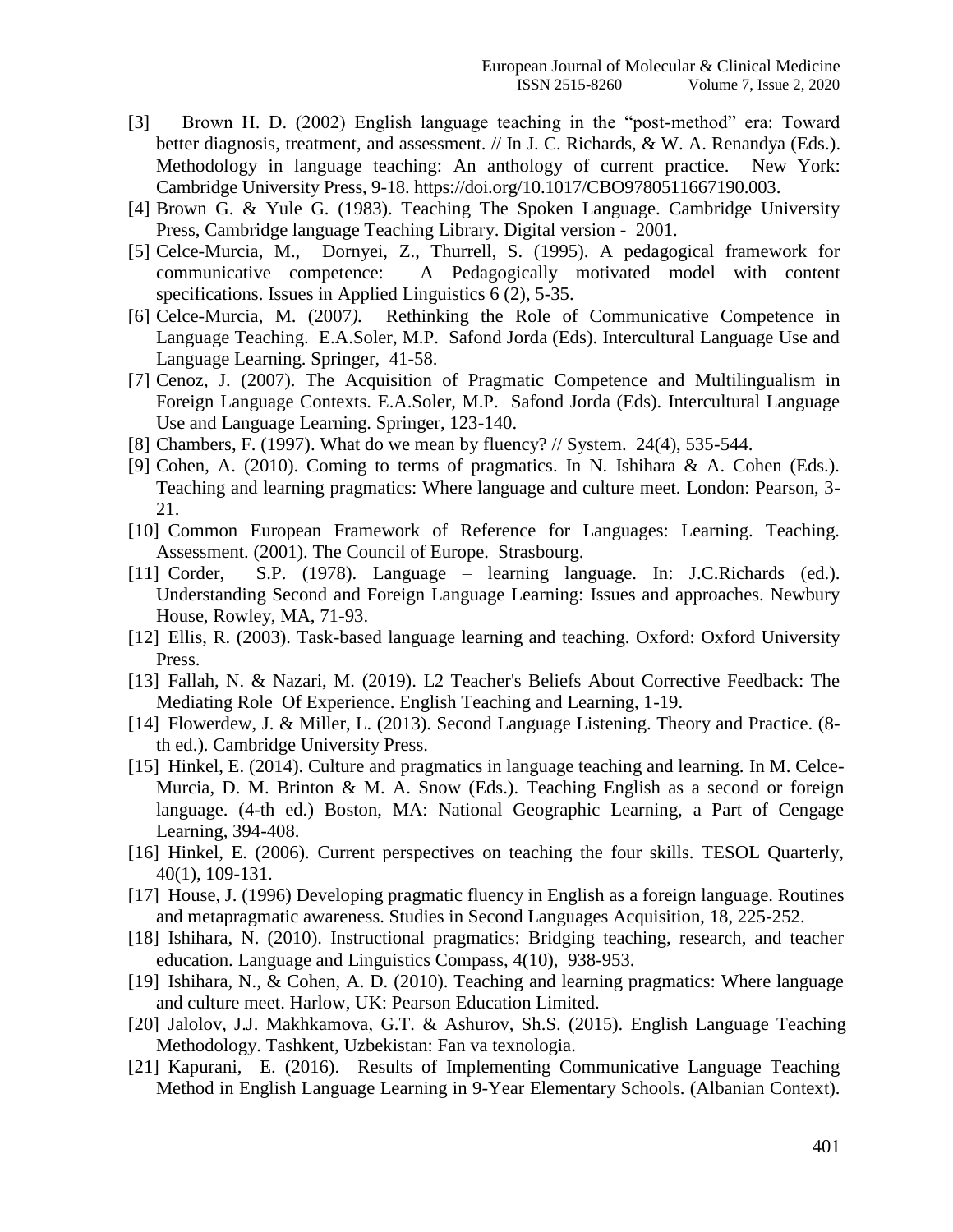- [3] Brown H. D. (2002) English language teaching in the "post-method" era: Toward better diagnosis, treatment, and assessment.  $//$  In J. C. Richards, & W. A. Renandya (Eds.). Methodology in language teaching: An anthology of current practice. New York: Cambridge University Press, 9-18. https://doi.org/10.1017/CBO9780511667190.003.
- [4] Brown G. & Yule G. (1983). Teaching The Spoken Language. Cambridge University Press, Cambridge language Teaching Library. Digital version - 2001.
- [5] Celce-Murcia, M., Dornyei, Z., Thurrell, S. (1995). A pedagogical framework for communicative competence: A Pedagogically motivated model with content specifications. Issues in Applied Linguistics 6 (2), 5-35.
- [6] Celce-Murcia, M. (2007*).* Rethinking the Role of Communicative Competence in Language Teaching. E.A.Soler, M.P. Safond Jorda (Eds). Intercultural Language Use and Language Learning. Springer, 41-58.
- [7] Cenoz, J. (2007). The Acquisition of Pragmatic Competence and Multilingualism in Foreign Language Contexts. E.A.Soler, M.P. Safond Jorda (Eds). Intercultural Language Use and Language Learning. Springer, 123-140.
- [8] Chambers, F. (1997). What do we mean by fluency? // System. 24(4), 535-544.
- [9] Cohen, A. (2010). Coming to terms of pragmatics. In N. Ishihara & A. Cohen (Eds.). Teaching and learning pragmatics: Where language and culture meet. London: Pearson, 3- 21.
- [10] Common European Framework of Reference for Languages: Learning. Teaching. Assessment. (2001). The Council of Europe. Strasbourg.
- [11] Corder, S.P. (1978). Language learning language. In: J.C.Richards (ed.). Understanding Second and Foreign Language Learning: Issues and approaches. Newbury House, Rowley, MA, 71-93.
- [12] Ellis, R. (2003). Task-based language learning and teaching. Oxford: Oxford University Press.
- [13] Fallah, N. & Nazari, M. (2019). L2 Teacher's Beliefs About Corrective Feedback: The Mediating Role Of Experience. English Teaching and Learning, 1-19.
- [14] Flowerdew, J. & Miller, L. (2013). Second Language Listening. Theory and Practice. (8 th ed.). Cambridge University Press.
- [15] Hinkel, E. (2014). Culture and pragmatics in language teaching and learning. In M. Celce-Murcia, D. M. Brinton & M. A. Snow (Eds.). Teaching English as a second or foreign language. (4-th ed.) Boston, MA: National Geographic Learning, a Part of Cengage Learning, 394-408.
- [16] Hinkel, E. (2006). Current perspectives on teaching the four skills. TESOL Quarterly, 40(1), 109-131.
- [17] House, J. (1996) Developing pragmatic fluency in English as a foreign language. Routines and metapragmatic awareness. Studies in Second Languages Acquisition, 18, 225-252.
- [18] Ishihara, N. (2010). Instructional pragmatics: Bridging teaching, research, and teacher education. Language and Linguistics Compass, 4(10), 938-953.
- [19] Ishihara, N., & Cohen, A. D. (2010). Teaching and learning pragmatics: Where language and culture meet. Harlow, UK: Pearson Education Limited.
- [20] Jalolov, J.J. Makhkamova, G.T. & Ashurov, Sh.S. (2015). English Language Teaching Methodology. Tashkent, Uzbekistan: Fan va texnologia.
- [21] Kapurani, E. (2016). Results of Implementing Communicative Language Teaching Method in English Language Learning in 9-Year Elementary Schools. (Albanian Context).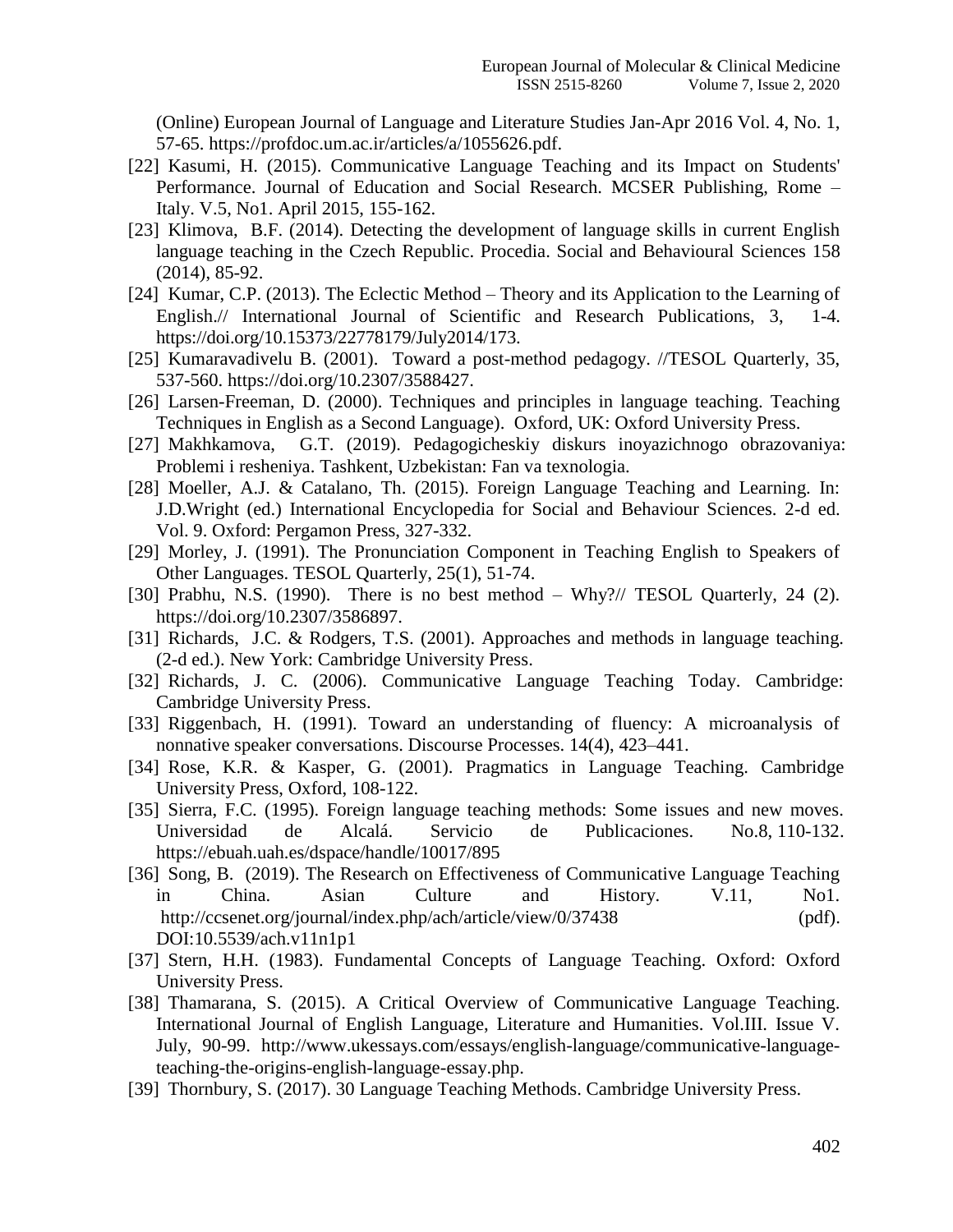(Online) European Journal of Language and Literature Studies Jan-Apr 2016 Vol. 4, No. 1, 57-65. [https://profdoc.um.ac.ir/articles/a/1055626.pdf.](https://profdoc.um.ac.ir/articles/a/1055626.pdf)

- [22] Kasumi, H. (2015). Communicative Language Teaching and its Impact on Students' Performance. Journal of Education and Social Research. MCSER Publishing, Rome – Italy. V.5, No1. April 2015, 155-162.
- [23] Klimova, B.F. (2014). Detecting the development of language skills in current English language teaching in the Czech Republic. Procedia. Social and Behavioural Sciences 158 (2014), 85-92.
- [24] Kumar, C.P. (2013). The Eclectic Method Theory and its Application to the Learning of English.// International Journal of Scientific and Research Publications, 3, 1-4. https://doi.org/10.15373/22778179/July2014/173.
- [25] Kumaravadivelu B. (2001). Toward a post-method pedagogy. //TESOL Quarterly, 35, 537-560. https://doi.org/10.2307/3588427.
- [26] Larsen-Freeman, D. (2000). Techniques and principles in language teaching. Teaching Techniques in English as a Second Language). Oxford, UK: Oxford University Press.
- [27] Makhkamova, G.T. (2019). Pedagogicheskiy diskurs inoyazichnogo obrazovaniya: Problemi i resheniya. Tashkent, Uzbekistan: Fan va texnologia.
- [28] Moeller, A.J. & Catalano, Th. (2015). Foreign Language Teaching and Learning. In: J.D.Wright (ed.) International Encyclopedia for Social and Behaviour Sciences. 2-d ed. Vol. 9. Oxford: Pergamon Press, 327-332.
- [29] Morley, J. (1991). The Pronunciation Component in Teaching English to Speakers of Other Languages. TESOL Quarterly, 25(1), 51-74.
- [30] Prabhu, N.S. (1990). There is no best method Why?// TESOL Quarterly, 24 (2). [https://doi.org/10.2307/3586897.](https://doi.org/10.2307/3586897)
- [31] Richards, J.C. & Rodgers, T.S. (2001). Approaches and methods in language teaching. (2-d ed.). New York: Cambridge University Press.
- [32] Richards, J. C. (2006). Communicative Language Teaching Today. Cambridge: Cambridge University Press.
- [33] Riggenbach, H. (1991). Toward an understanding of fluency: A microanalysis of nonnative speaker conversations. Discourse Processes. 14(4), 423–441.
- [34] Rose, K.R. & Kasper, G. (2001). Pragmatics in Language Teaching. Cambridge University Press, Oxford, 108-122.
- [35] Sierra, F.C. (1995). Foreign language teaching methods: Some issues and new moves. Universidad de Alcalá. Servicio de Publicaciones. No.8, 110-132. https://ebuah.uah.es/dspace/handle/10017/895
- [36] Song, B. (2019). The Research on Effectiveness of Communicative Language Teaching in China. Asian Culture and History. V.11, No1. http://ccsenet.org/journal/index.php/ach/article/view/0/37438 (pdf). DOI[:10.5539/ach.v11n1p1](https://doi.org/10.5539/ach.v11n1p1)
- [37] Stern, H.H. (1983). Fundamental Concepts of Language Teaching. Oxford: Oxford University Press.
- [38] [Thamarana,](https://www.researchgate.net/profile/Simhachalam_Thamarana) S. (2015). A Critical Overview of Communicative Language Teaching. International Journal of English Language, Literature and Humanities. Vol.III. Issue V. July, 90-99. http://www.ukessays.com/essays/english-language/communicative-languageteaching-the-origins-english-language-essay.php.
- [39] Thornbury, S. (2017). 30 Language Teaching Methods. Cambridge University Press.